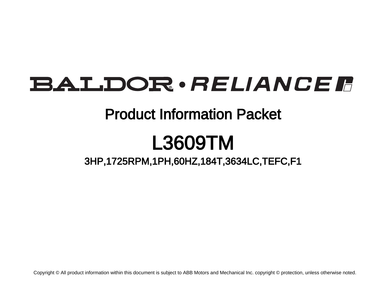# **BALDOR** · RELIANCE F

# Product Information Packet

# L3609TM

3HP,1725RPM,1PH,60HZ,184T,3634LC,TEFC,F1

Copyright © All product information within this document is subject to ABB Motors and Mechanical Inc. copyright © protection, unless otherwise noted.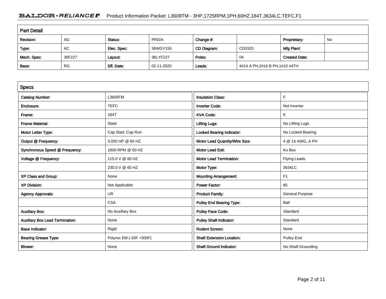# BALDOR · RELIANCE F Product Information Packet: L3609TM - 3HP,1725RPM,1PH,60HZ,184T,3634LC,TEFC,F1

| <b>Part Detail</b> |                                                           |             |            |             |                               |                      |  |  |
|--------------------|-----------------------------------------------------------|-------------|------------|-------------|-------------------------------|----------------------|--|--|
| Revision:          | PRD/A<br>AG<br>No<br>Proprietary:<br>Status:<br>Change #: |             |            |             |                               |                      |  |  |
| Type:              | AC                                                        | Elec. Spec: | 36WGY155   | CD Diagram: | CD0320                        | Mfg Plant:           |  |  |
| Mech. Spec:        | 36F227                                                    | Layout:     | 36LYF227   | Poles:      | 04                            | <b>Created Date:</b> |  |  |
| Base:              | <b>RG</b>                                                 | Eff. Date:  | 02-11-2020 | Leads:      | 4#14 A PH,2#16 B PH,1#10 #4TH |                      |  |  |

| <b>Specs</b>                           |                         |                                  |                        |
|----------------------------------------|-------------------------|----------------------------------|------------------------|
| <b>Catalog Number:</b>                 | L3609TM                 | <b>Insulation Class:</b>         | F                      |
| Enclosure:                             | <b>TEFC</b>             | <b>Inverter Code:</b>            | Not Inverter           |
| Frame:                                 | 184T                    | <b>KVA Code:</b>                 | K                      |
| <b>Frame Material:</b>                 | Steel                   | <b>Lifting Lugs:</b>             | No Lifting Lugs        |
| Motor Letter Type:                     | Cap Start, Cap Run      | <b>Locked Bearing Indicator:</b> | No Locked Bearing      |
| Output @ Frequency:                    | 3.000 HP @ 60 HZ        | Motor Lead Quantity/Wire Size:   | 4 @ 14 AWG, A PH       |
| Synchronous Speed @ Frequency:         | 1800 RPM @ 60 HZ        | <b>Motor Lead Exit:</b>          | Ko Box                 |
| Voltage @ Frequency:                   | 115.0 V @ 60 HZ         | <b>Motor Lead Termination:</b>   | <b>Flying Leads</b>    |
|                                        | 230.0 V @ 60 HZ         | Motor Type:                      | 3634LC                 |
| XP Class and Group:                    | None                    | <b>Mounting Arrangement:</b>     | F <sub>1</sub>         |
| <b>XP Division:</b>                    | Not Applicable          | <b>Power Factor:</b>             | 85                     |
| <b>Agency Approvals:</b>               | <b>UR</b>               | <b>Product Family:</b>           | <b>General Purpose</b> |
|                                        | <b>CSA</b>              | Pulley End Bearing Type:         | Ball                   |
| <b>Auxillary Box:</b>                  | No Auxillary Box        | <b>Pulley Face Code:</b>         | Standard               |
| <b>Auxillary Box Lead Termination:</b> | None                    | <b>Pulley Shaft Indicator:</b>   | Standard               |
| <b>Base Indicator:</b>                 | Rigid                   | <b>Rodent Screen:</b>            | None                   |
| <b>Bearing Grease Type:</b>            | Polyrex EM (-20F +300F) | <b>Shaft Extension Location:</b> | Pulley End             |
| Blower:                                | None                    | <b>Shaft Ground Indicator:</b>   | No Shaft Grounding     |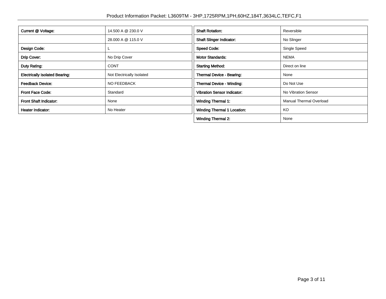| Current @ Voltage:                    | 14.500 A @ 230.0 V        | <b>Shaft Rotation:</b>             | Reversible                     |
|---------------------------------------|---------------------------|------------------------------------|--------------------------------|
|                                       | 28.000 A @ 115.0 V        | <b>Shaft Slinger Indicator:</b>    | No Slinger                     |
| Design Code:                          |                           | <b>Speed Code:</b>                 | Single Speed                   |
| Drip Cover:                           | No Drip Cover             | <b>Motor Standards:</b>            | <b>NEMA</b>                    |
| Duty Rating:                          | <b>CONT</b>               | <b>Starting Method:</b>            | Direct on line                 |
| <b>Electrically Isolated Bearing:</b> | Not Electrically Isolated | <b>Thermal Device - Bearing:</b>   | None                           |
| <b>Feedback Device:</b>               | NO FEEDBACK               | Thermal Device - Winding:          | Do Not Use                     |
| <b>Front Face Code:</b>               | Standard                  | <b>Vibration Sensor Indicator:</b> | No Vibration Sensor            |
| <b>Front Shaft Indicator:</b>         | None                      | Winding Thermal 1:                 | <b>Manual Thermal Overload</b> |
| Heater Indicator:                     | No Heater                 | <b>Winding Thermal 1 Location:</b> | KO                             |
|                                       |                           | <b>Winding Thermal 2:</b>          | None                           |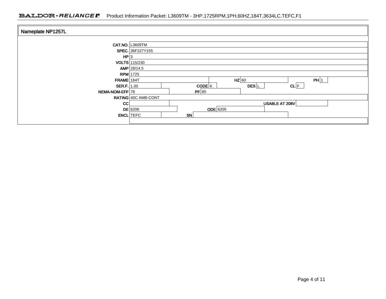## BALDOR · RELIANCE F Product Information Packet: L3609TM - 3HP,1725RPM,1PH,60HZ,184T,3634LC,TEFC,F1

| Nameplate NP1257L      |                     |                                                     |  |  |  |  |  |
|------------------------|---------------------|-----------------------------------------------------|--|--|--|--|--|
| <b>CAT.NO. L3609TM</b> |                     |                                                     |  |  |  |  |  |
|                        | SPEC. 36F227Y155    |                                                     |  |  |  |  |  |
| HP 3                   |                     |                                                     |  |  |  |  |  |
|                        | VOLTS 115/230       |                                                     |  |  |  |  |  |
|                        | $AMP$ 28/14.5       |                                                     |  |  |  |  |  |
| $RPM$ 1725             |                     |                                                     |  |  |  |  |  |
| $FRAME$ 184T           |                     | $HZ$ 60<br>PH 1                                     |  |  |  |  |  |
| SER.F.   1.00          |                     | $CL$ $F$<br>$CODE$ <sup>K</sup><br>DES <sup>L</sup> |  |  |  |  |  |
| NEMA-NOM-EFF 78        |                     | PF 85                                               |  |  |  |  |  |
|                        | RATING 40C AMB-CONT |                                                     |  |  |  |  |  |
| CC                     |                     | USABLE AT 208V                                      |  |  |  |  |  |
|                        | $DE$ 6206           | $ODE$ 6205                                          |  |  |  |  |  |
| <b>ENCL</b> TEFC       |                     | <b>SN</b>                                           |  |  |  |  |  |
|                        |                     |                                                     |  |  |  |  |  |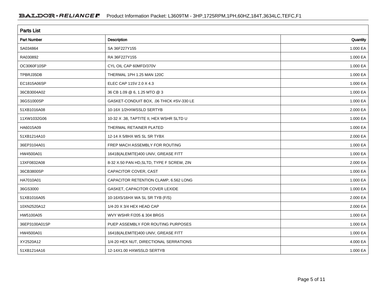| <b>Parts List</b>  |                                           |          |  |  |  |
|--------------------|-------------------------------------------|----------|--|--|--|
| <b>Part Number</b> | <b>Description</b>                        | Quantity |  |  |  |
| SA034864           | SA 36F227Y155                             | 1.000 EA |  |  |  |
| RA030892           | RA 36F227Y155                             | 1.000 EA |  |  |  |
| OC3060F10SP        | CYL OIL CAP 60MFD/370V                    | 1.000 EA |  |  |  |
| TPBRJ35DB          | THERMAL 1PH 1.25 MAN 120C                 | 1.000 EA |  |  |  |
| EC1815A06SP        | ELEC CAP 115V 2.0 X 4.3                   | 1.000 EA |  |  |  |
| 36CB3004A02        | 36 CB 1.09 @ 6, 1.25 MTO @ 3              | 1.000 EA |  |  |  |
| 36GS1000SP         | GASKET-CONDUIT BOX, .06 THICK #SV-330 LE  | 1.000 EA |  |  |  |
| 51XB1016A08        | 10-16X 1/2HXWSSLD SERTYB                  | 2.000 EA |  |  |  |
| 11XW1032G06        | 10-32 X .38, TAPTITE II, HEX WSHR SLTD U  | 1.000 EA |  |  |  |
| HA6015A09          | THERMAL RETAINER PLATED                   | 1.000 EA |  |  |  |
| 51XB1214A10        | 12-14 X 5/8HX WS SL SR TYBX               | 2.000 EA |  |  |  |
| 36EP3104A01        | FREP MACH ASSEMBLY FOR ROUTING            | 1.000 EA |  |  |  |
| HW4500A01          | 1641B(ALEMITE)400 UNIV, GREASE FITT       | 1.000 EA |  |  |  |
| 13XF0832A08        | 8-32 X.50 PAN HD, SLTD, TYPE F SCREW, ZIN | 2.000 EA |  |  |  |
| 36CB3800SP         | CAPACITOR COVER, CAST                     | 1.000 EA |  |  |  |
| HA7010A01          | CAPACITOR RETENTION CLAMP, 6.562 LONG     | 1.000 EA |  |  |  |
| 36GS3000           | GASKET, CAPACITOR COVER LEXIDE            | 1.000 EA |  |  |  |
| 51XB1016A05        | 10-16X5/16HX WA SL SR TYB (F/S)           | 2.000 EA |  |  |  |
| 10XN2520A12        | 1/4-20 X 3/4 HEX HEAD CAP                 | 2.000 EA |  |  |  |
| HW5100A05          | WVY WSHR F/205 & 304 BRGS                 | 1.000 EA |  |  |  |
| 36EP3100A01SP      | PUEP ASSEMBLY FOR ROUTING PURPOSES        | 1.000 EA |  |  |  |
| HW4500A01          | 1641B(ALEMITE)400 UNIV, GREASE FITT       | 1.000 EA |  |  |  |
| XY2520A12          | 1/4-20 HEX NUT, DIRECTIONAL SERRATIONS    | 4.000 EA |  |  |  |
| 51XB1214A16        | 12-14X1.00 HXWSSLD SERTYB                 | 1.000 EA |  |  |  |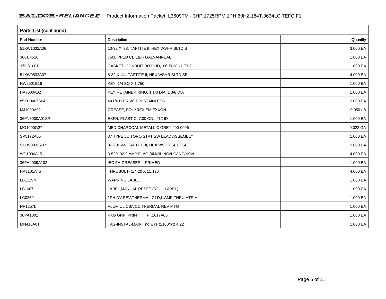| <b>Parts List (continued)</b> |                                                |          |  |  |
|-------------------------------|------------------------------------------------|----------|--|--|
| <b>Part Number</b>            | Description                                    | Quantity |  |  |
| 51XW1032A06                   | 10-32 X .38, TAPTITE II, HEX WSHR SLTD S       | 3.000 EA |  |  |
| 36CB4516                      | 750LIPPED CB LID - GALVANNEAL                  | 1.000 EA |  |  |
| 37GS1001                      | GASKET, CONDUIT BOX LID, .06 THICK LEXID       | 1.000 EA |  |  |
| 51XW0832A07                   | 8-32 X .44, TAPTITE II, HEX WSHR SLTD SE       | 4.000 EA |  |  |
| HW2501E16                     | KEY, 1/4 SQ X 1.750                            | 1.000 EA |  |  |
| HA7000A02                     | KEY RETAINER RING, 1 1/8 DIA, 1 3/8 DIA        | 1.000 EA |  |  |
| 85XU0407S04                   | 4X1/4 U DRIVE PIN STAINLESS                    | 2.000 EA |  |  |
| MJ1000A02                     | GREASE, POLYREX EM EXXON                       | 0.050 LB |  |  |
| 36FN3000A01SP                 | EXFN, PLASTIC, 7.00 OD, .912 ID                | 1.000 EA |  |  |
| MG1000G27                     | MED CHARCOAL METALLIC GREY 400-0096            | 0.022 GA |  |  |
| SP5172A05                     | 37 TYPE LC TORQ STAT SW LEAD ASSEMBLY          | 1.000 EA |  |  |
| 51XW0832A07                   | 8-32 X .44, TAPTITE II, HEX WSHR SLTD SE       | 2.000 EA |  |  |
| WD1000A15                     | 3-520132-2 AMP FLAG (4M/RL NON-CANC/NON-       | 4.000 EA |  |  |
| 36FH4009A102                  | IEC FH GREASER PRIMED                          | 1.000 EA |  |  |
| HA3101A45                     | THRUBOLT- 1/4-20 X 11.126                      | 4.000 EA |  |  |
| LB1119N                       | <b>WARNING LABEL</b>                           | 1.000 EA |  |  |
| LB1087                        | LABEL, MANUAL RESET (ROLL LABEL)               | 1.000 EA |  |  |
| LC0269                        | 1PH, DV, REV, THERMAL, 7 LD, L. AMP THRU HTR H | 1.000 EA |  |  |
| <b>NP1257L</b>                | ALUM UL CSA CC THERMAL REV MTG                 | 1.000 EA |  |  |
| 36PA1001                      | PKG GRP, PRINT<br>PK1017A06                    | 1.000 EA |  |  |
| MN416A01                      | TAG-INSTAL-MAINT no wire (2100/bx) 4/22        | 1.000 EA |  |  |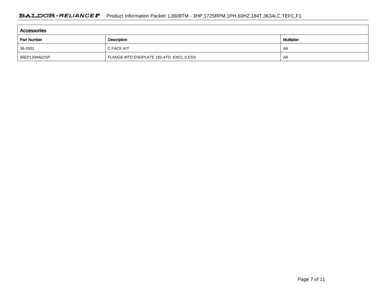| <b>Accessories</b> |                                         |    |  |  |  |  |
|--------------------|-----------------------------------------|----|--|--|--|--|
| <b>Part Number</b> | <b>Multiplier</b>                       |    |  |  |  |  |
| 36-3301            | C FACE KIT                              | A8 |  |  |  |  |
| 36EP1304A62SP      | FLANGE MTD ENDPLATE 182-4TD -ENCL (LESS | A8 |  |  |  |  |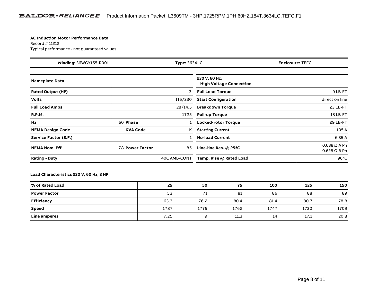#### **AC Induction Motor Performance Data**

#### Record # 11212Typical performance - not guaranteed values

| Winding: 36WGY155-R001<br><b>Type: 3634LC</b> |                        | <b>Enclosure: TEFC</b> |                                                 |                                              |
|-----------------------------------------------|------------------------|------------------------|-------------------------------------------------|----------------------------------------------|
| <b>Nameplate Data</b>                         |                        |                        | 230 V, 60 Hz:<br><b>High Voltage Connection</b> |                                              |
| <b>Rated Output (HP)</b>                      |                        | 3                      | <b>Full Load Torque</b>                         | 9 LB-FT                                      |
| <b>Volts</b>                                  |                        | 115/230                | <b>Start Configuration</b>                      | direct on line                               |
| <b>Full Load Amps</b>                         |                        | 28/14.5                | <b>Breakdown Torque</b>                         | 23 LB-FT                                     |
| <b>R.P.M.</b>                                 |                        | 1725                   | <b>Pull-up Torque</b>                           | 18 LB-FT                                     |
| Hz                                            | 60 Phase               |                        | Locked-rotor Torque                             | 29 LB-FT                                     |
| <b>NEMA Design Code</b>                       | L KVA Code             | K                      | <b>Starting Current</b>                         | 105 A                                        |
| Service Factor (S.F.)                         |                        |                        | <b>No-load Current</b>                          | 6.35 A                                       |
| <b>NEMA Nom. Eff.</b>                         | <b>78 Power Factor</b> | 85                     | Line-line Res. $@$ 25 <sup>o</sup> C            | $0.688 \Omega A Ph$<br>$0.628$ $\Omega$ B Ph |
| <b>Rating - Duty</b>                          |                        | 40C AMB-CONT           | Temp. Rise @ Rated Load                         | $96^{\circ}$ C                               |

### **Load Characteristics 230 V, 60 Hz, 3 HP**

| % of Rated Load     | 25   | 50   | 75   | 100  | 125  | 150  |
|---------------------|------|------|------|------|------|------|
| <b>Power Factor</b> | 53   |      | 81   | 86   | 88   | 89   |
| Efficiency          | 63.3 | 76.2 | 80.4 | 81.4 | 80.7 | 78.8 |
| <b>Speed</b>        | 1787 | 1775 | 1762 | 1747 | 1730 | 1709 |
| Line amperes        | 7.25 |      | 11.3 | 14   | 17.1 | 20.8 |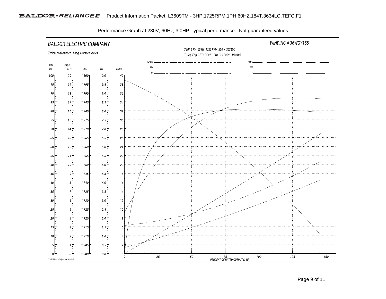

Performance Graph at 230V, 60Hz, 3.0HP Typical performance - Not guaranteed values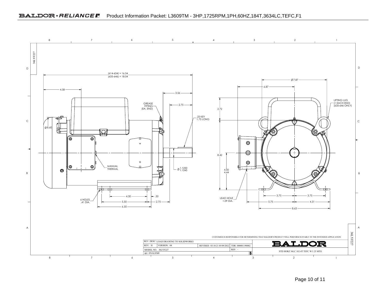### BALDOR · RELIANCE F Product Information Packet: L3609TM - 3HP,1725RPM,1PH,60HZ,184T,3634LC,TEFC,F1